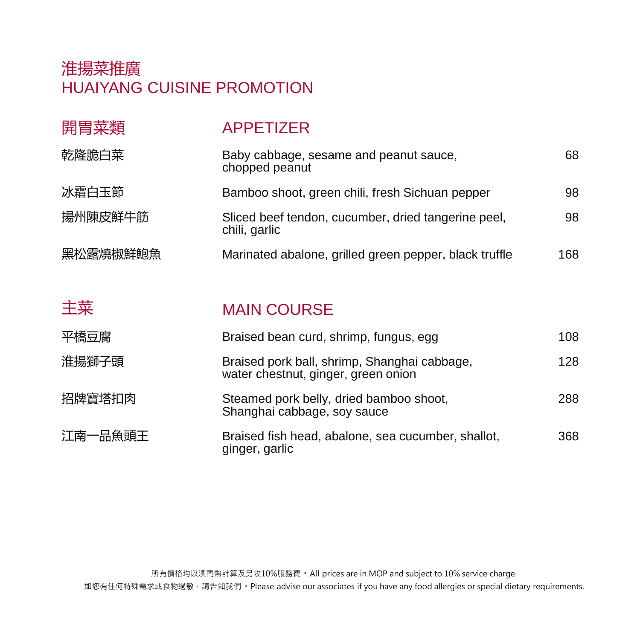## 淮揚菜推廣 HUAIYANG CUISINE PROMOTION

| 開胃菜類     | <b>APPETIZER</b>                                                     |     |
|----------|----------------------------------------------------------------------|-----|
| 乾隆脆白菜    | Baby cabbage, sesame and peanut sauce,<br>chopped peanut             | 68  |
| 冰霜白玉節    | Bamboo shoot, green chili, fresh Sichuan pepper                      | 98  |
| 揚州陳皮鮮牛筋  | Sliced beef tendon, cucumber, dried tangerine peel,<br>chili, garlic | 98  |
| 黑松露燒椒鮮鮑魚 | Marinated abalone, grilled green pepper, black truffle               | 168 |

| 主菜 | <b>MAIN COURSE</b> |
|----|--------------------|
|    |                    |

| 平橋豆腐    | Braised bean curd, shrimp, fungus, egg                                              | 108 |
|---------|-------------------------------------------------------------------------------------|-----|
| 淮揚獅子頭   | Braised pork ball, shrimp, Shanghai cabbage,<br>water chestnut, ginger, green onion | 128 |
| 招牌寶塔扣肉  | Steamed pork belly, dried bamboo shoot,<br>Shanghai cabbage, soy sauce              | 288 |
| 江南一品魚頭王 | Braised fish head, abalone, sea cucumber, shallot,<br>ginger, garlic                | 368 |